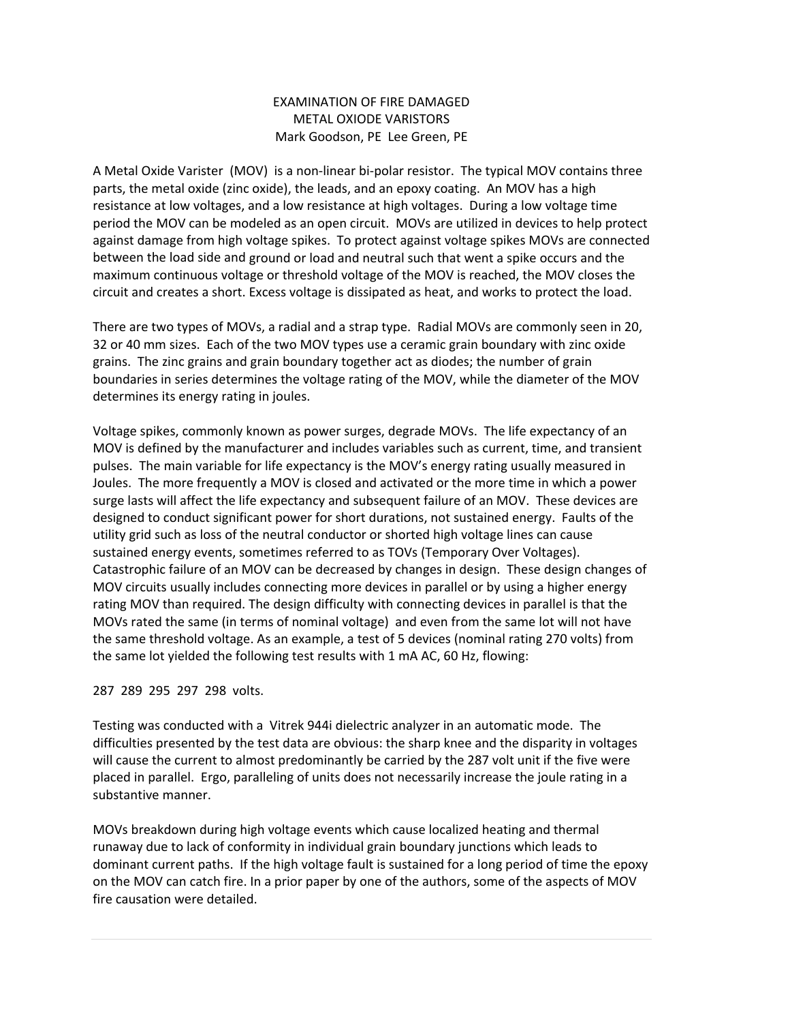# EXAMINATION OF FIRE DAMAGED METAL OXIODE VARISTORS Mark Goodson, PE Lee Green, PE

A Metal Oxide Varister (MOV) is a non‐linear bi‐polar resistor. The typical MOV contains three parts, the metal oxide (zinc oxide), the leads, and an epoxy coating. An MOV has a high resistance at low voltages, and a low resistance at high voltages. During a low voltage time period the MOV can be modeled as an open circuit. MOVs are utilized in devices to help protect against damage from high voltage spikes. To protect against voltage spikes MOVs are connected between the load side and ground or load and neutral such that went a spike occurs and the maximum continuous voltage or threshold voltage of the MOV is reached, the MOV closes the circuit and creates a short. Excess voltage is dissipated as heat, and works to protect the load.

There are two types of MOVs, a radial and a strap type. Radial MOVs are commonly seen in 20, 32 or 40 mm sizes. Each of the two MOV types use a ceramic grain boundary with zinc oxide grains. The zinc grains and grain boundary together act as diodes; the number of grain boundaries in series determines the voltage rating of the MOV, while the diameter of the MOV determines its energy rating in joules.

Voltage spikes, commonly known as power surges, degrade MOVs. The life expectancy of an MOV is defined by the manufacturer and includes variables such as current, time, and transient pulses. The main variable for life expectancy is the MOV's energy rating usually measured in Joules. The more frequently a MOV is closed and activated or the more time in which a power surge lasts will affect the life expectancy and subsequent failure of an MOV. These devices are designed to conduct significant power for short durations, not sustained energy. Faults of the utility grid such as loss of the neutral conductor or shorted high voltage lines can cause sustained energy events, sometimes referred to as TOVs (Temporary Over Voltages). Catastrophic failure of an MOV can be decreased by changes in design. These design changes of MOV circuits usually includes connecting more devices in parallel or by using a higher energy rating MOV than required. The design difficulty with connecting devices in parallel is that the MOVs rated the same (in terms of nominal voltage) and even from the same lot will not have the same threshold voltage. As an example, a test of 5 devices (nominal rating 270 volts) from the same lot yielded the following test results with 1 mA AC, 60 Hz, flowing:

287 289 295 297 298 volts.

Testing was conducted with a Vitrek 944i dielectric analyzer in an automatic mode. The difficulties presented by the test data are obvious: the sharp knee and the disparity in voltages will cause the current to almost predominantly be carried by the 287 volt unit if the five were placed in parallel. Ergo, paralleling of units does not necessarily increase the joule rating in a substantive manner.

MOVs breakdown during high voltage events which cause localized heating and thermal runaway due to lack of conformity in individual grain boundary junctions which leads to dominant current paths. If the high voltage fault is sustained for a long period of time the epoxy on the MOV can catch fire. In a prior paper by one of the authors, some of the aspects of MOV fire causation were detailed.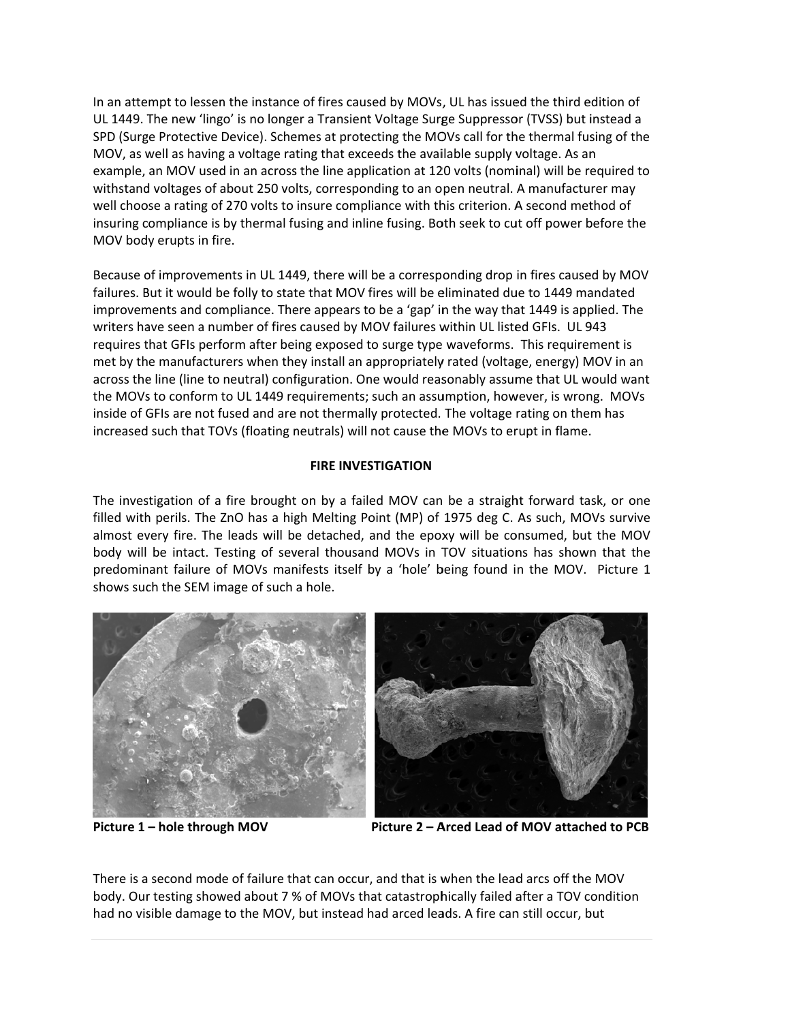In an attempt to lessen the instance of fires caused by MOVs, UL has issued the third edition of UL 1449. The new 'lingo' is no longer a Transient Voltage Surge Suppressor (TVSS) but instead a SPD (Surge Protective Device). Schemes at protecting the MOVs call for the thermal fusing of the MOV, as well as having a voltage rating that exceeds the available supply voltage. As an example, an MOV used in an across the line application at 120 volts (nominal) will be required to withstand voltages of about 250 volts, corresponding to an open neutral. A manufacturer may well choose a rating of 270 volts to insure compliance with this criterion. A second method of insuring compliance is by thermal fusing and inline fusing. Both seek to cut off power before the MOV body erupts in fire.

Because of improvements in UL 1449, there will be a corresponding drop in fires caused by MOV failures. But it would be folly to state that MOV fires will be eliminated due to 1449 mandated improvements and compliance. There appears to be a 'gap' in the way that 1449 is applied. The writers have seen a number of fires caused by MOV failures within UL listed GFIs. UL 943 requires that GFIs perform after being exposed to surge type waveforms. This requirement is met by the manufacturers when they install an appropriately rated (voltage, energy) MOV in an across the line (line to neutral) configuration. One would reasonably assume that UL would want the MOVs to conform to UL 1449 requirements; such an assumption, however, is wrong. MOVs inside of GFIs are not fused and are not thermally protected. The voltage rating on them has increased such that TOVs (floating neutrals) will not cause the MOVs to erupt in flame.

## **FIRE INVESTIGATION**

The investigation of a fire brought on by a failed MOV can be a straight forward task, or one filled with perils. The ZnO has a high Melting Point (MP) of 1975 deg C. As such, MOVs survive almost every fire. The leads will be detached, and the epoxy will be consumed, but the MOV body will be intact. Testing of several thousand MOVs in TOV situations has shown that the predominant failure of MOVs manifests itself by a 'hole' being found in the MOV. Picture 1 shows such the SEM image of such a hole.



Picture 1 - hole through MOV

Picture 2 - Arced Lead of MOV attached to PCB

There is a second mode of failure that can occur, and that is when the lead arcs off the MOV body. Our testing showed about 7 % of MOVs that catastrophically failed after a TOV condition had no visible damage to the MOV, but instead had arced leads. A fire can still occur, but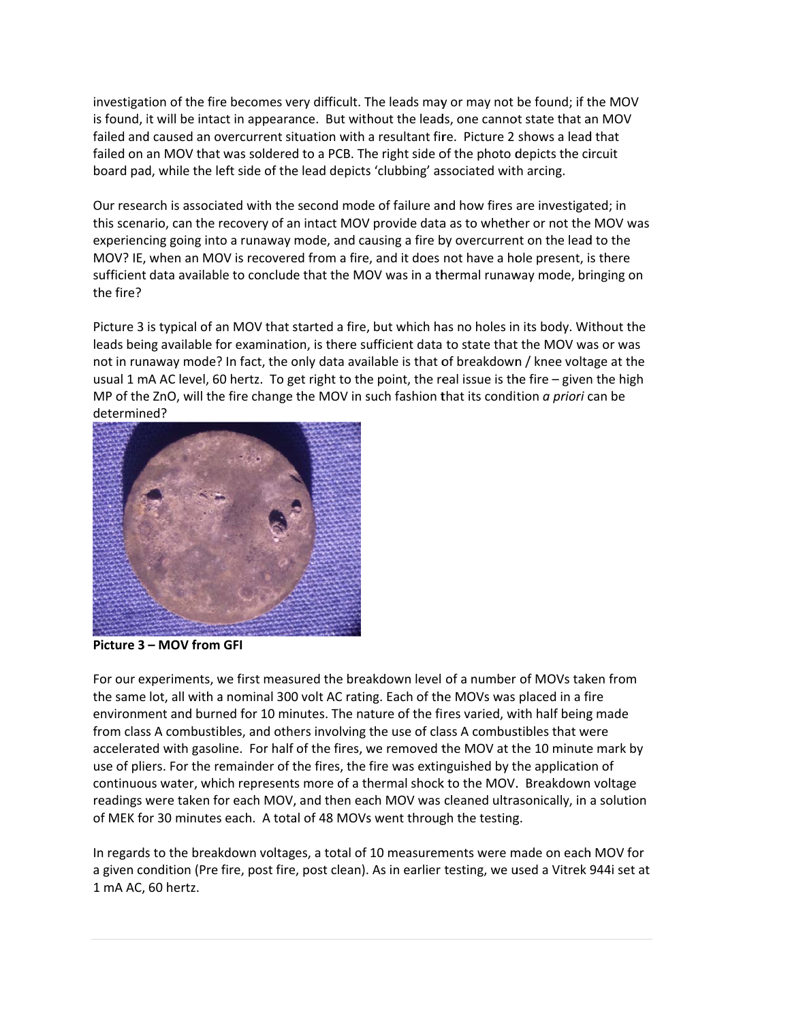investigation of the fire becomes very difficult. The leads may or may not be found; if the MOV is found, it will be intact in appearance. But without the leads, one cannot state that an MOV failed and caused an overcurrent situation with a resultant fire. Picture 2 shows a lead that failed on an MOV that was soldered to a PCB. The right side of the photo depicts the circuit board pad, while the left side of the lead depicts 'clubbing' associated with arcing.

Our research is associated with the second mode of failure and how fires are investigated; in this scenario, can the recovery of an intact MOV provide data as to whether or not the MOV was experiencing going into a runaway mode, and causing a fire by overcurrent on the lead to the MOV? IE, when an MOV is recovered from a fire, and it does not have a hole present, is there sufficient data available to conclude that the MOV was in a thermal runaway mode, bringing on the fire?

Picture 3 is typical of an MOV that started a fire, but which has no holes in its body. Without the leads being available for examination, is there sufficient data to state that the MOV was or was not in runaway mode? In fact, the only data available is that of breakdown / knee voltage at the usual 1 mA AC level, 60 hertz. To get right to the point, the real issue is the fire – given the high MP of the ZnO, will the fire change the MOV in such fashion that its condition *a priori* can be determine ed?



**Picture 3 – MOV from GFI** 

For our experiments, we first measured the breakdown level of a number of MOVs taken from the same lot, all with a nominal 300 volt AC rating. Each of the MOVs was placed in a fire environment and burned for 10 minutes. The nature of the fires varied, with half being made from class A combustibles, and others involving the use of class A combustibles that were accelerated with gasoline. For half of the fires, we removed the MOV at the 10 minute mark by use of pliers. For the remainder of the fires, the fire was extinguished by the application of continuous water, which represents more of a thermal shock to the MOV. Breakdown voltage readings were taken for each MOV, and then each MOV was cleaned ultrasonically, in a solution of MEK for 30 minutes each. A total of 48 MOVs went through the testing.

In regards to the breakdown voltages, a total of 10 measurements were made on each MOV for a given condition (Pre fire, post fire, post clean). As in earlier testing, we used a Vitrek 944i set at 1 mA AC, 60 hertz.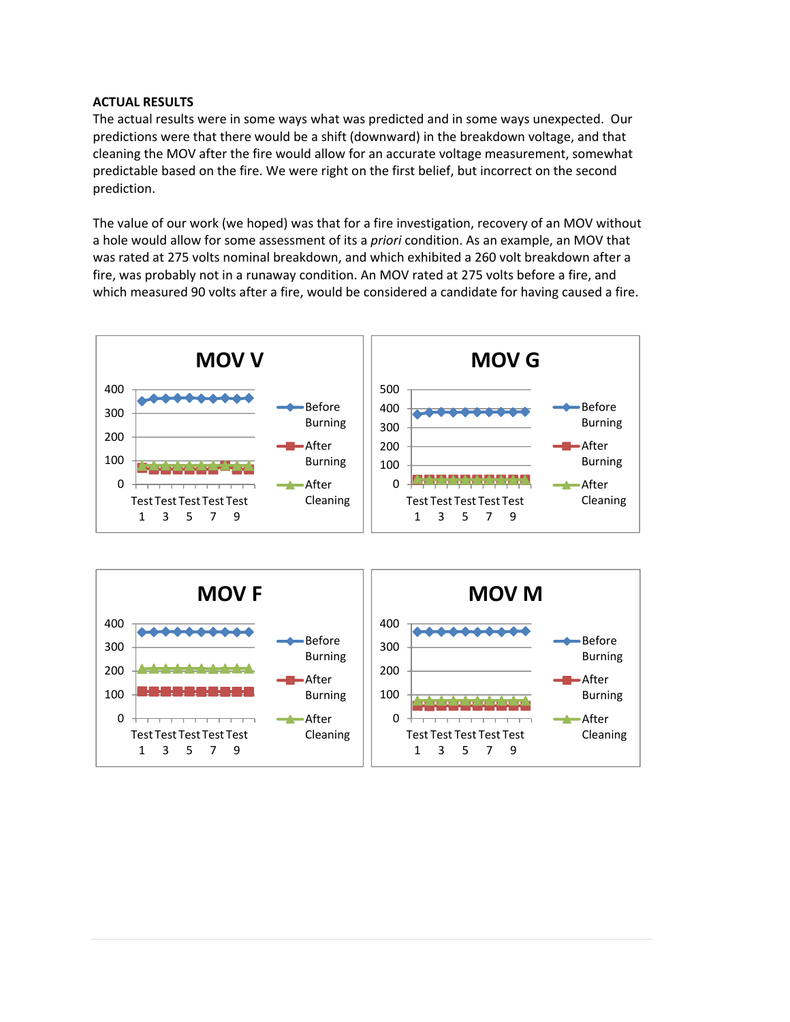## **ACTUAL RESULTS**

The actual results were in some ways what was predicted and in some ways unexpected. Our predictions were that there would be a shift (downward) in the breakdown voltage, and that cleaning the MOV after the fire would allow for an accurate voltage measurement, somewhat predictable based on the fire. We were right on the first belief, but incorrect on the second prediction.

The value of our work (we hoped) was that for a fire investigation, recovery of an MOV without a hole would allow for some assessment of its a *priori* condition. As an example, an MOV that was rated at 275 volts nominal breakdown, and which exhibited a 260 volt breakdown after a fire, was probably not in a runaway condition. An MOV rated at 275 volts before a fire, and which measured 90 volts after a fire, would be considered a candidate for having caused a fire.

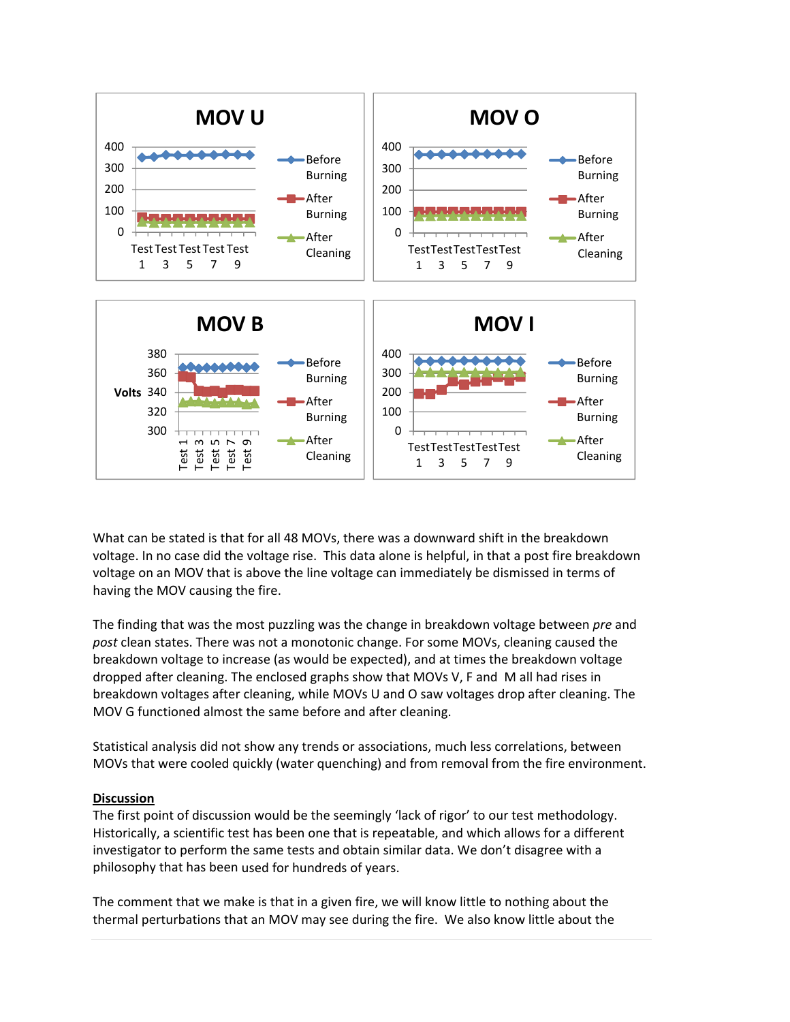

What can be stated is that for all 48 MOVs, there was a downward shift in the breakdown voltage. In no case did the voltage rise. This data alone is helpful, in that a post fire breakdown voltage on an MOV that is above the line voltage can immediately be dismissed in terms of having the MOV causing the fire.

The finding that was the most puzzling was the change in breakdown voltage between *pre* and *post* clean states. There was not a monotonic change. For some MOVs, cleaning caused the breakdown voltage to increase (as would be expected), and at times the breakdown voltage dropped after cleaning. The enclosed graphs show that MOVs V, F and M all had rises in breakdown voltages after cleaning, while MOVs U and O saw voltages drop after cleaning. The MOV G functioned almost the same before and after cleaning.

Statistical analysis did not show any trends or associations, much less correlations, between MOVs that were cooled quickly (water quenching) and from removal from the fire environment.

#### **Discussion**

The first point of discussion would be the seemingly 'lack of rigor' to our test methodology. Historically, a scientific test has been one that is repeatable, and which allows for a different investigator to perform the same tests and obtain similar data. We don't disagree with a philosophy that has been used for hundreds of years.

The comment that we make is that in a given fire, we will know little to nothing about the thermal perturbations that an MOV may see during the fire. We also know little about the